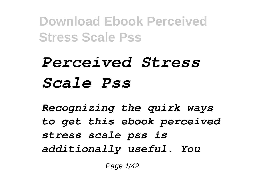## *Perceived Stress Scale Pss*

*Recognizing the quirk ways to get this ebook perceived stress scale pss is additionally useful. You*

Page 1/42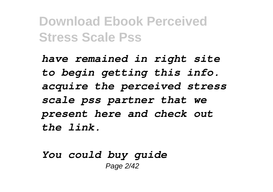*have remained in right site to begin getting this info. acquire the perceived stress scale pss partner that we present here and check out the link.*

*You could buy guide* Page 2/42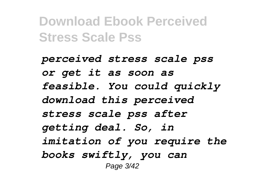*perceived stress scale pss or get it as soon as feasible. You could quickly download this perceived stress scale pss after getting deal. So, in imitation of you require the books swiftly, you can* Page 3/42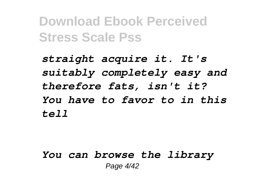*straight acquire it. It's suitably completely easy and therefore fats, isn't it? You have to favor to in this tell*

*You can browse the library* Page 4/42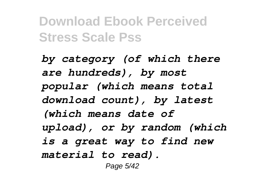*by category (of which there are hundreds), by most popular (which means total download count), by latest (which means date of upload), or by random (which is a great way to find new material to read).* Page 5/42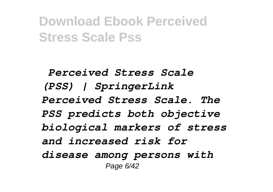*Perceived Stress Scale (PSS) | SpringerLink Perceived Stress Scale. The PSS predicts both objective biological markers of stress and increased risk for disease among persons with* Page 6/42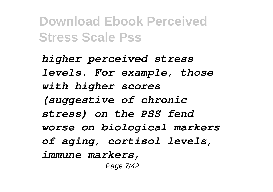*higher perceived stress levels. For example, those with higher scores (suggestive of chronic stress) on the PSS fend worse on biological markers of aging, cortisol levels, immune markers,* Page 7/42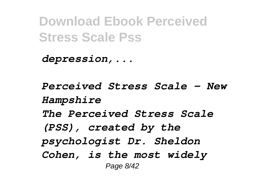*depression,...*

*Perceived Stress Scale - New Hampshire The Perceived Stress Scale (PSS), created by the psychologist Dr. Sheldon Cohen, is the most widely* Page 8/42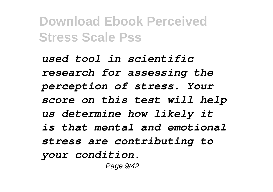*used tool in scientific research for assessing the perception of stress. Your score on this test will help us determine how likely it is that mental and emotional stress are contributing to your condition.* Page 9/42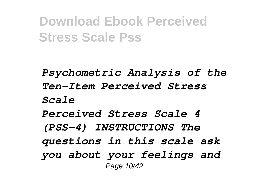*Psychometric Analysis of the Ten-Item Perceived Stress Scale Perceived Stress Scale 4 (PSS-4) INSTRUCTIONS The questions in this scale ask you about your feelings and* Page 10/42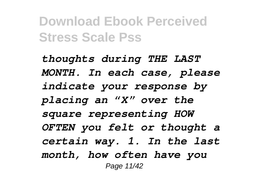*thoughts during THE LAST MONTH. In each case, please indicate your response by placing an "X" over the square representing HOW OFTEN you felt or thought a certain way. 1. In the last month, how often have you* Page 11/42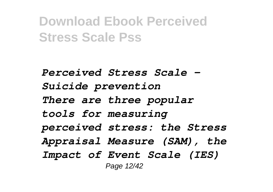*Perceived Stress Scale - Suicide prevention There are three popular tools for measuring perceived stress: the Stress Appraisal Measure (SAM), the Impact of Event Scale (IES)* Page 12/42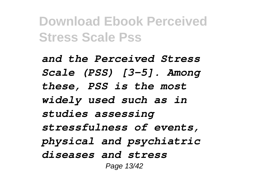*and the Perceived Stress Scale (PSS) [3–5]. Among these, PSS is the most widely used such as in studies assessing stressfulness of events, physical and psychiatric diseases and stress* Page 13/42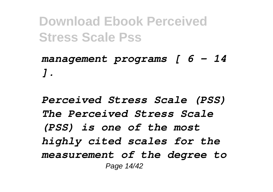*management programs [ 6 – 14 ].*

*Perceived Stress Scale (PSS) The Perceived Stress Scale (PSS) is one of the most highly cited scales for the measurement of the degree to* Page 14/42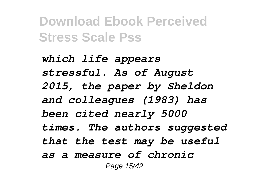*which life appears stressful. As of August 2015, the paper by Sheldon and colleagues (1983) has been cited nearly 5000 times. The authors suggested that the test may be useful as a measure of chronic* Page 15/42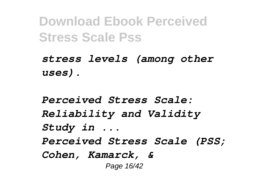*stress levels (among other uses).*

*Perceived Stress Scale: Reliability and Validity Study in ... Perceived Stress Scale (PSS; Cohen, Kamarck, &* Page 16/42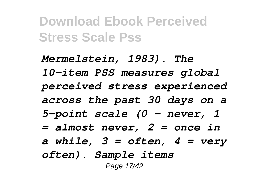*Mermelstein, 1983). The 10-item PSS measures global perceived stress experienced across the past 30 days on a 5-point scale (0 – never, 1 = almost never, 2 = once in a while, 3 = often, 4 = very often). Sample items* Page 17/42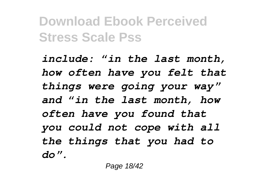*include: "in the last month, how often have you felt that things were going your way" and "in the last month, how often have you found that you could not cope with all the things that you had to do".*

Page 18/42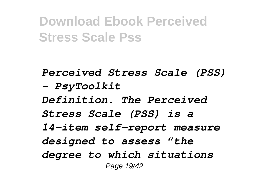*Perceived Stress Scale (PSS) - PsyToolkit Definition. The Perceived Stress Scale (PSS) is a 14-item self-report measure designed to assess "the degree to which situations* Page 19/42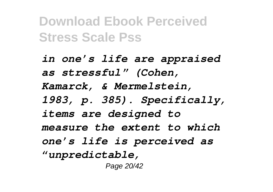*in one's life are appraised as stressful" (Cohen, Kamarck, & Mermelstein, 1983, p. 385). Specifically, items are designed to measure the extent to which one's life is perceived as "unpredictable,* Page 20/42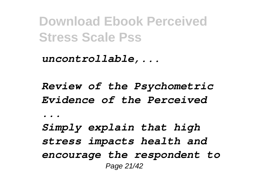*uncontrollable,...*

*Review of the Psychometric Evidence of the Perceived*

*...*

*Simply explain that high stress impacts health and encourage the respondent to* Page 21/42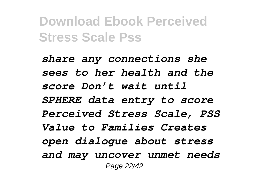*share any connections she sees to her health and the score Don't wait until SPHERE data entry to score Perceived Stress Scale, PSS Value to Families Creates open dialogue about stress and may uncover unmet needs* Page 22/42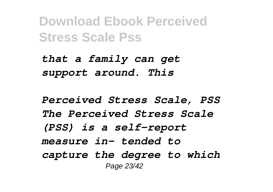*that a family can get support around. This*

*Perceived Stress Scale, PSS The Perceived Stress Scale (PSS) is a self-report measure in- tended to capture the degree to which* Page 23/42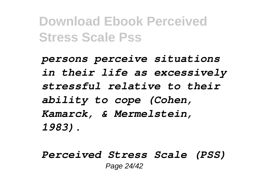*persons perceive situations in their life as excessively stressful relative to their ability to cope (Cohen, Kamarck, & Mermelstein, 1983).*

*Perceived Stress Scale (PSS)* Page 24/42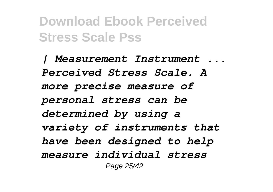*| Measurement Instrument ... Perceived Stress Scale. A more precise measure of personal stress can be determined by using a variety of instruments that have been designed to help measure individual stress* Page 25/42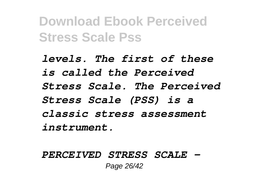*levels. The first of these is called the Perceived Stress Scale. The Perceived Stress Scale (PSS) is a classic stress assessment instrument.*

*PERCEIVED STRESS SCALE -* Page 26/42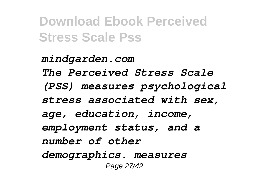*mindgarden.com The Perceived Stress Scale (PSS) measures psychological stress associated with sex, age, education, income, employment status, and a number of other demographics. measures* Page 27/42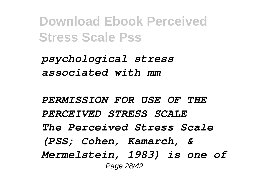*psychological stress associated with mm*

*PERMISSION FOR USE OF THE PERCEIVED STRESS SCALE The Perceived Stress Scale (PSS; Cohen, Kamarch, & Mermelstein, 1983) is one of* Page 28/42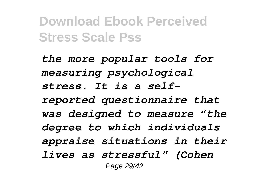*the more popular tools for measuring psychological stress. It is a selfreported questionnaire that was designed to measure "the degree to which individuals appraise situations in their lives as stressful" (Cohen* Page 29/42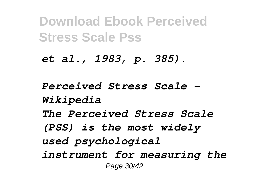*et al., 1983, p. 385).*

*Perceived Stress Scale - Wikipedia The Perceived Stress Scale (PSS) is the most widely used psychological instrument for measuring the* Page 30/42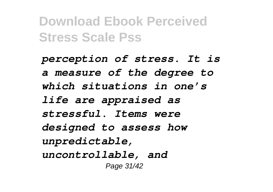*perception of stress. It is a measure of the degree to which situations in one's life are appraised as stressful. Items were designed to assess how unpredictable, uncontrollable, and* Page 31/42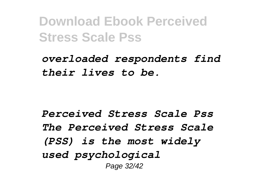*overloaded respondents find their lives to be.*

*Perceived Stress Scale Pss The Perceived Stress Scale (PSS) is the most widely used psychological* Page 32/42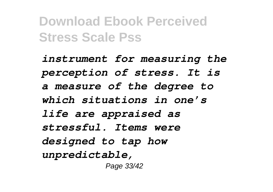*instrument for measuring the perception of stress. It is a measure of the degree to which situations in one's life are appraised as stressful. Items were designed to tap how unpredictable,* Page 33/42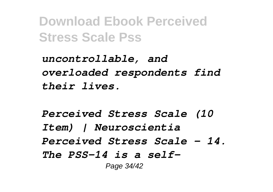*uncontrollable, and overloaded respondents find their lives.*

*Perceived Stress Scale (10 Item) | Neuroscientia Perceived Stress Scale – 14. The PSS-14 is a self-*Page 34/42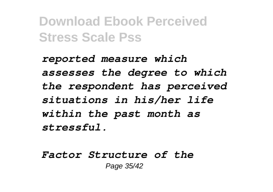*reported measure which assesses the degree to which the respondent has perceived situations in his/her life within the past month as stressful.*

*Factor Structure of the* Page 35/42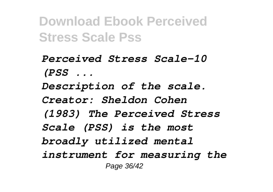*Perceived Stress Scale-10 (PSS ... Description of the scale. Creator: Sheldon Cohen (1983) The Perceived Stress Scale (PSS) is the most broadly utilized mental instrument for measuring the* Page 36/42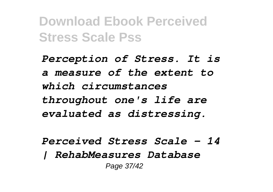*Perception of Stress. It is a measure of the extent to which circumstances throughout one's life are evaluated as distressing.*

*Perceived Stress Scale – 14 | RehabMeasures Database* Page 37/42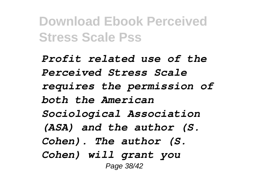*Profit related use of the Perceived Stress Scale requires the permission of both the American Sociological Association (ASA) and the author (S. Cohen). The author (S. Cohen) will grant you* Page 38/42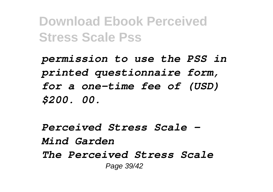*permission to use the PSS in printed questionnaire form, for a one-time fee of (USD) \$200. 00.*

*Perceived Stress Scale - Mind Garden The Perceived Stress Scale* Page 39/42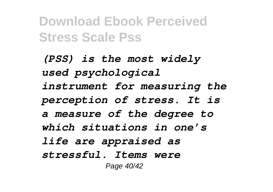*(PSS) is the most widely used psychological instrument for measuring the perception of stress. It is a measure of the degree to which situations in one's life are appraised as stressful. Items were* Page 40/42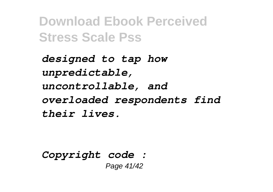*designed to tap how unpredictable, uncontrollable, and overloaded respondents find their lives.*

*Copyright code :*  Page 41/42